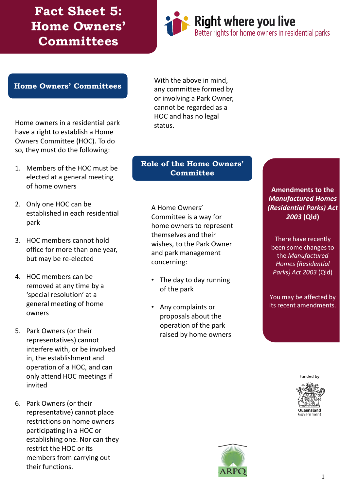**Fact Sheet 5: Home Owners' Committees**



#### **Home Owners' Committees**

Home owners in a residential park have a right to establish a Home Owners Committee (HOC). To do so, they must do the following:

- 1. Members of the HOC must be elected at a general meeting of home owners
- 2. Only one HOC can be established in each residential park
- 3. HOC members cannot hold office for more than one year, but may be re-elected
- 4. HOC members can be removed at any time by a 'special resolution' at a general meeting of home owners
- 5. Park Owners (or their representatives) cannot interfere with, or be involved in, the establishment and operation of a HOC, and can only attend HOC meetings if invited
- 6. Park Owners (or their representative) cannot place restrictions on home owners participating in a HOC or establishing one. Nor can they restrict the HOC or its members from carrying out their functions.

With the above in mind, any committee formed by or involving a Park Owner, cannot be regarded as a HOC and has no legal status.

#### **Role of the Home Owners' Committee**

A Home Owners' Committee is a way for home owners to represent themselves and their wishes, to the Park Owner and park management concerning:

- The day to day running of the park
- Any complaints or proposals about the operation of the park raised by home owners

#### **Amendments to the**  *Manufactured Homes (Residential Parks) Act 2003* **(Qld)**

There have recently been some changes to the *Manufactured Homes (Residential Parks) Act 2003* (Qld)

You may be affected by its recent amendments.

**Funded by**